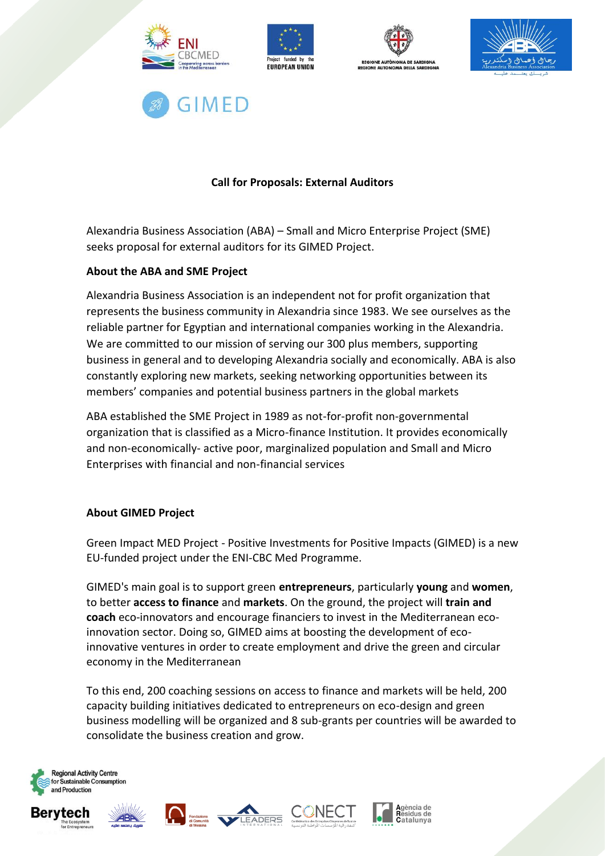









## **Call for Proposals: External Auditors**

Alexandria Business Association (ABA) – Small and Micro Enterprise Project (SME) seeks proposal for external auditors for its GIMED Project.

### **About the ABA and SME Project**

Alexandria Business Association is an independent not for profit organization that represents the business community in Alexandria since 1983. We see ourselves as the reliable partner for Egyptian and international companies working in the Alexandria. We are committed to our mission of serving our 300 plus members, supporting business in general and to developing Alexandria socially and economically. ABA is also constantly exploring new markets, seeking networking opportunities between its members' companies and potential business partners in the global markets

ABA established the SME Project in 1989 as not-for-profit non-governmental organization that is classified as a Micro-finance Institution. It provides economically and non-economically- active poor, marginalized population and Small and Micro Enterprises with financial and non-financial services

### **About GIMED Project**

Green Impact MED Project - Positive Investments for Positive Impacts (GIMED) is a new EU-funded project under the ENI-CBC Med Programme.

GIMED's main goal is to support green **entrepreneurs**, particularly **young** and **women**, to better **access to finance** and **markets**. On the ground, the project will **train and coach** eco-innovators and encourage financiers to invest in the Mediterranean ecoinnovation sector. Doing so, GIMED aims at boosting the development of ecoinnovative ventures in order to create employment and drive the green and circular economy in the Mediterranean

To this end, 200 coaching sessions on access to finance and markets will be held, 200 capacity building initiatives dedicated to entrepreneurs on eco-design and green business modelling will be organized and 8 sub-grants per countries will be awarded to consolidate the business creation and grow.











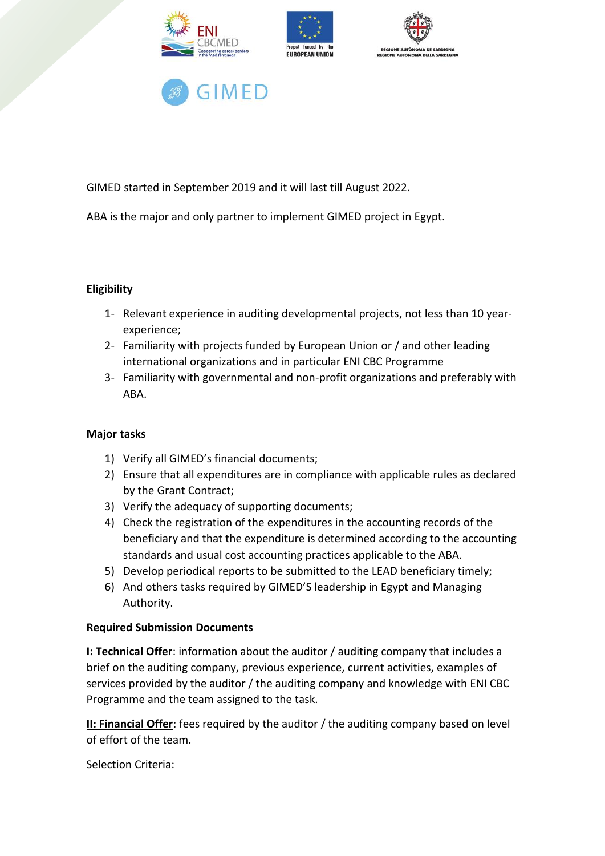







GIMED started in September 2019 and it will last till August 2022.

ABA is the major and only partner to implement GIMED project in Egypt.

# **Eligibility**

- 1- Relevant experience in auditing developmental projects, not less than 10 yearexperience;
- 2- Familiarity with projects funded by European Union or / and other leading international organizations and in particular ENI CBC Programme
- 3- Familiarity with governmental and non-profit organizations and preferably with ABA.

### **Major tasks**

- 1) Verify all GIMED's financial documents;
- 2) Ensure that all expenditures are in compliance with applicable rules as declared by the Grant Contract;
- 3) Verify the adequacy of supporting documents;
- 4) Check the registration of the expenditures in the accounting records of the beneficiary and that the expenditure is determined according to the accounting standards and usual cost accounting practices applicable to the ABA.
- 5) Develop periodical reports to be submitted to the LEAD beneficiary timely;
- 6) And others tasks required by GIMED'S leadership in Egypt and Managing Authority.

### **Required Submission Documents**

**I: Technical Offer**: information about the auditor / auditing company that includes a brief on the auditing company, previous experience, current activities, examples of services provided by the auditor / the auditing company and knowledge with ENI CBC Programme and the team assigned to the task.

**II: Financial Offer**: fees required by the auditor / the auditing company based on level of effort of the team.

Selection Criteria: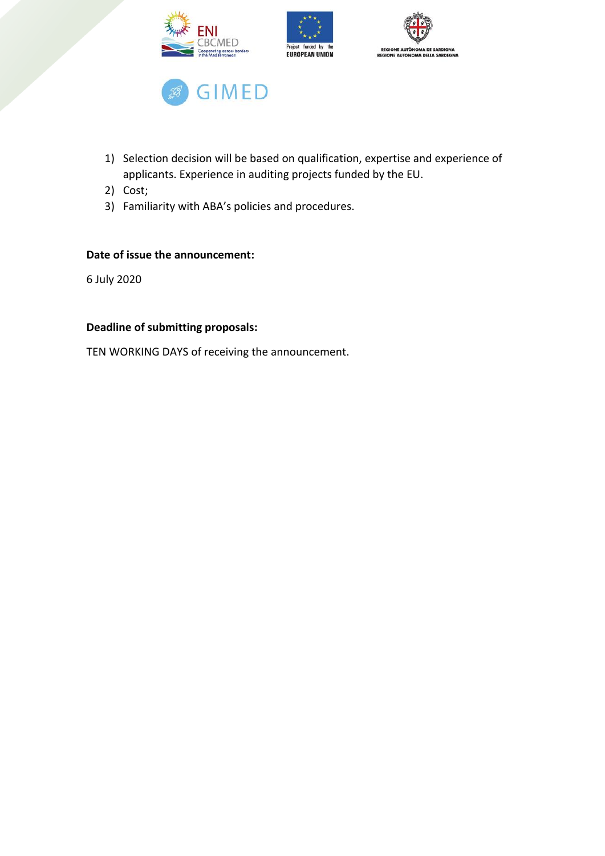







- 1) Selection decision will be based on qualification, expertise and experience of applicants. Experience in auditing projects funded by the EU.
- 2) Cost;
- 3) Familiarity with ABA's policies and procedures.

#### **Date of issue the announcement:**

6 July 2020

#### **Deadline of submitting proposals:**

TEN WORKING DAYS of receiving the announcement.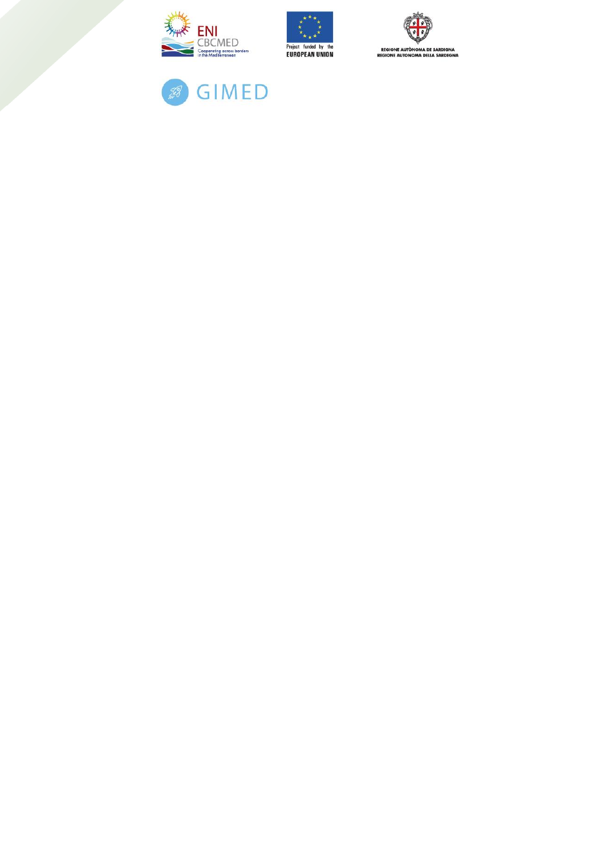





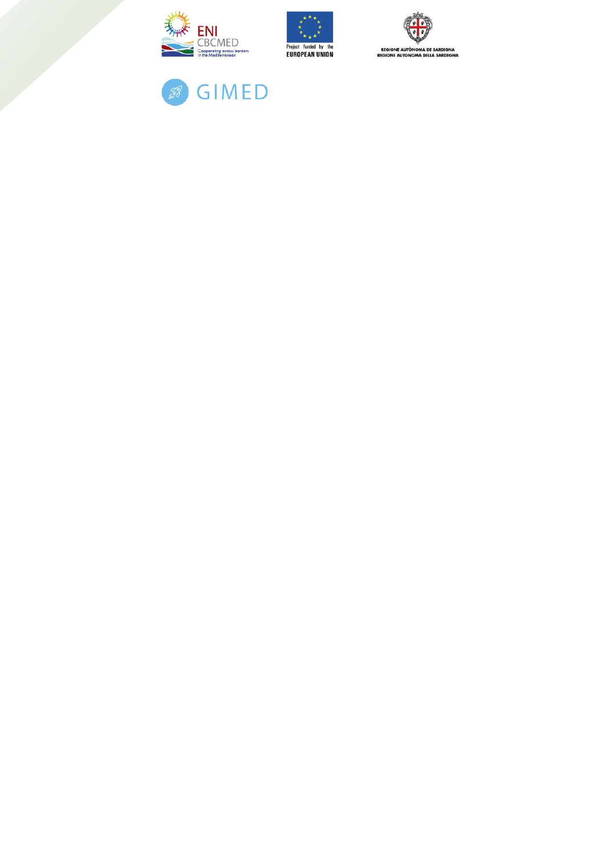